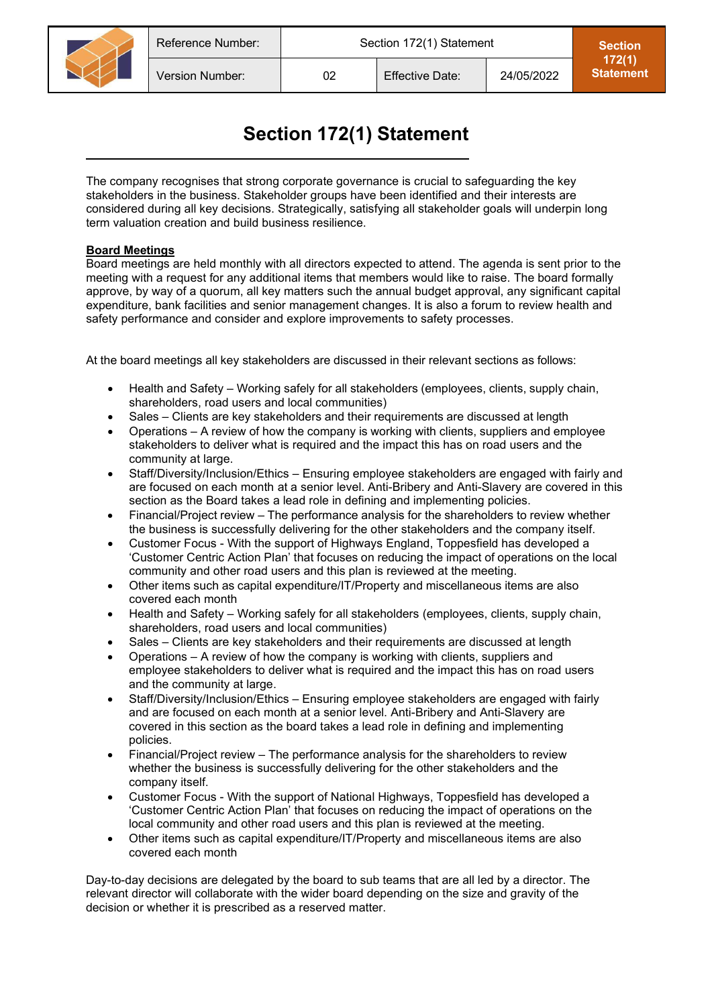

## **Section 172(1) Statement**

The company recognises that strong corporate governance is crucial to safeguarding the key stakeholders in the business. Stakeholder groups have been identified and their interests are considered during all key decisions. Strategically, satisfying all stakeholder goals will underpin long term valuation creation and build business resilience.

## **Board Meetings**

Board meetings are held monthly with all directors expected to attend. The agenda is sent prior to the meeting with a request for any additional items that members would like to raise. The board formally approve, by way of a quorum, all key matters such the annual budget approval, any significant capital expenditure, bank facilities and senior management changes. It is also a forum to review health and safety performance and consider and explore improvements to safety processes.

At the board meetings all key stakeholders are discussed in their relevant sections as follows:

- Health and Safety Working safely for all stakeholders (employees, clients, supply chain, shareholders, road users and local communities)
- Sales Clients are key stakeholders and their requirements are discussed at length
- Operations A review of how the company is working with clients, suppliers and employee stakeholders to deliver what is required and the impact this has on road users and the community at large.
- Staff/Diversity/Inclusion/Ethics Ensuring employee stakeholders are engaged with fairly and are focused on each month at a senior level. Anti-Bribery and Anti-Slavery are covered in this section as the Board takes a lead role in defining and implementing policies.
- Financial/Project review The performance analysis for the shareholders to review whether the business is successfully delivering for the other stakeholders and the company itself.
- Customer Focus With the support of Highways England, Toppesfield has developed a 'Customer Centric Action Plan' that focuses on reducing the impact of operations on the local community and other road users and this plan is reviewed at the meeting.
- Other items such as capital expenditure/IT/Property and miscellaneous items are also covered each month
- Health and Safety Working safely for all stakeholders (employees, clients, supply chain, shareholders, road users and local communities)
- Sales Clients are key stakeholders and their requirements are discussed at length
- Operations A review of how the company is working with clients, suppliers and employee stakeholders to deliver what is required and the impact this has on road users and the community at large.
- Staff/Diversity/Inclusion/Ethics Ensuring employee stakeholders are engaged with fairly and are focused on each month at a senior level. Anti-Bribery and Anti-Slavery are covered in this section as the board takes a lead role in defining and implementing policies.
- Financial/Project review The performance analysis for the shareholders to review whether the business is successfully delivering for the other stakeholders and the company itself.
- Customer Focus With the support of National Highways, Toppesfield has developed a 'Customer Centric Action Plan' that focuses on reducing the impact of operations on the local community and other road users and this plan is reviewed at the meeting.
- Other items such as capital expenditure/IT/Property and miscellaneous items are also covered each month

Day-to-day decisions are delegated by the board to sub teams that are all led by a director. The relevant director will collaborate with the wider board depending on the size and gravity of the decision or whether it is prescribed as a reserved matter.